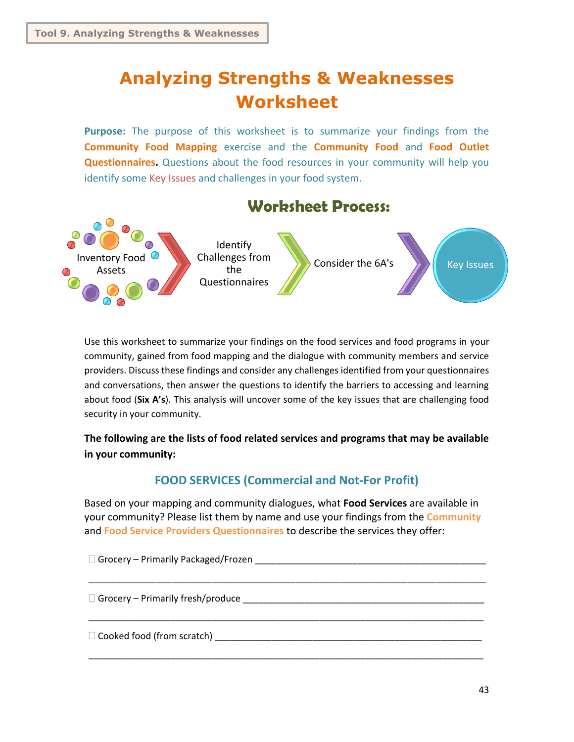# **Analyzing Strengths & Weaknesses Worksheet**

**Purpose:** The purpose of this worksheet is to summarize your findings from the **Community Food Mapping** exercise and the **Community Food** and **Food Outlet Questionnaires.** Questions about the food resources in your community will help you identify some Key Issues and challenges in your food system.



Use this worksheet to summarize your findings on the food services and food programs in your community, gained from food mapping and the dialogue with community members and service providers. Discuss these findings and consider any challenges identified from your questionnaires and conversations, then answer the questions to identify the barriers to accessing and learning about food (**Six A's**). This analysis will uncover some of the key issues that are challenging food security in your community.

**The following are the lists of food related services and programs that may be available in your community:**

## **FOOD SERVICES (Commercial and Not-For Profit)**

Based on your mapping and community dialogues, what **Food Services** are available in your community? Please list them by name and use your findings from the **Community** and **Food Service Providers Questionnaires** to describe the services they offer:

| $\Box$ Cooked food (from scratch) |
|-----------------------------------|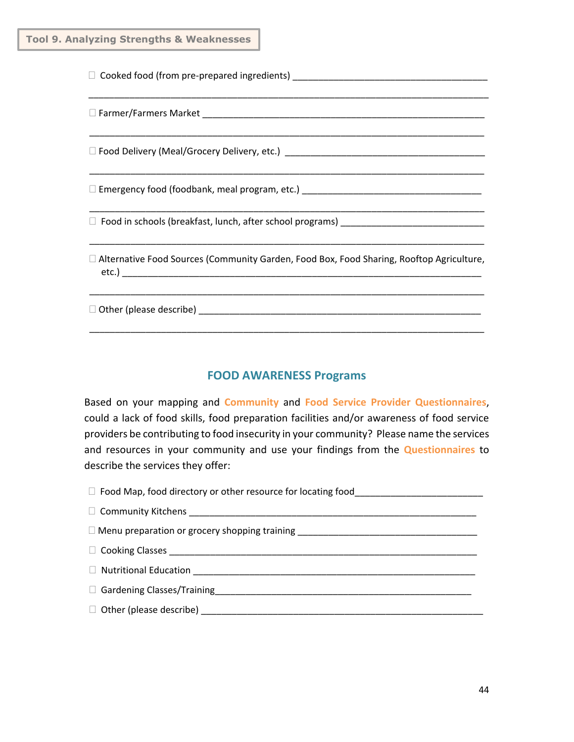| D Farmer/Farmers Market 2002 2003 2004 2010 2021 2022 2023 2024 2022 2023 2024 2022 2023 2024 2022 2023 2024 20 |  |  |  |
|-----------------------------------------------------------------------------------------------------------------|--|--|--|
|                                                                                                                 |  |  |  |
|                                                                                                                 |  |  |  |
|                                                                                                                 |  |  |  |
| $\Box$ Alternative Food Sources (Community Garden, Food Box, Food Sharing, Rooftop Agriculture,                 |  |  |  |
|                                                                                                                 |  |  |  |

### **FOOD AWARENESS Programs**

Based on your mapping and **Community** and **Food Service Provider Questionnaires**, could a lack of food skills, food preparation facilities and/or awareness of food service providers be contributing to food insecurity in your community? Please name the services and resources in your community and use your findings from the **Questionnaires** to describe the services they offer:

| Gardening Classes/Training [1994] [1994] Gardening [1995] [1995] [1996] [1996] [1996] [1996] [1996] [1996] [19 |  |  |
|----------------------------------------------------------------------------------------------------------------|--|--|
|                                                                                                                |  |  |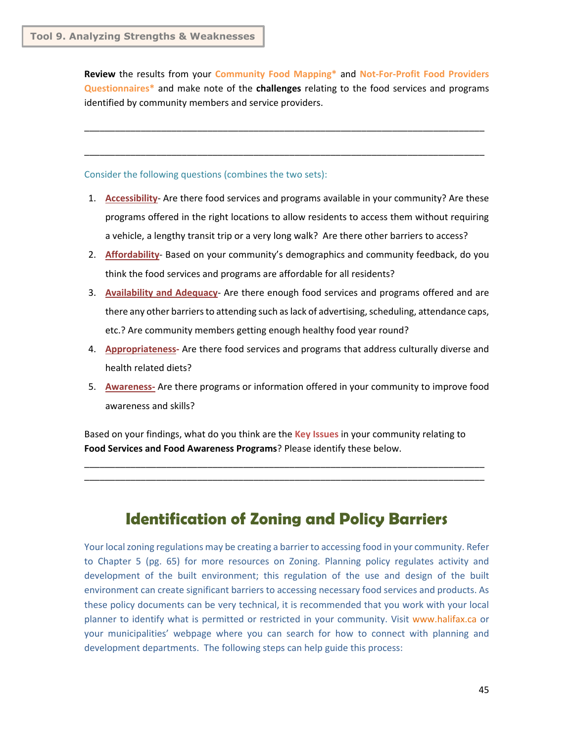**Review** the results from your **Community Food Mapping\*** and **Not-For-Profit Food Providers Questionnaires\*** and make note of the **challenges** relating to the food services and programs identified by community members and service providers.

\_\_\_\_\_\_\_\_\_\_\_\_\_\_\_\_\_\_\_\_\_\_\_\_\_\_\_\_\_\_\_\_\_\_\_\_\_\_\_\_\_\_\_\_\_\_\_\_\_\_\_\_\_\_\_\_\_\_\_\_\_\_\_\_\_\_\_\_\_\_\_\_\_\_\_\_\_\_

\_\_\_\_\_\_\_\_\_\_\_\_\_\_\_\_\_\_\_\_\_\_\_\_\_\_\_\_\_\_\_\_\_\_\_\_\_\_\_\_\_\_\_\_\_\_\_\_\_\_\_\_\_\_\_\_\_\_\_\_\_\_\_\_\_\_\_\_\_\_\_\_\_\_\_\_\_\_

Consider the following questions (combines the two sets):

- 1. **Accessibility** Are there food services and programs available in your community? Are these programs offered in the right locations to allow residents to access them without requiring a vehicle, a lengthy transit trip or a very long walk? Are there other barriers to access?
- 2. **Affordability** Based on your community's demographics and community feedback, do you think the food services and programs are affordable for all residents?
- 3. **Availability and Adequacy** Are there enough food services and programs offered and are there any other barriers to attending such aslack of advertising, scheduling, attendance caps, etc.? Are community members getting enough healthy food year round?
- 4. **Appropriateness-** Are there food services and programs that address culturally diverse and health related diets?
- 5. **Awareness-** Are there programs or information offered in your community to improve food awareness and skills?

Based on your findings, what do you think are the **Key Issues** in your community relating to **Food Services and Food Awareness Programs**? Please identify these below.

\_\_\_\_\_\_\_\_\_\_\_\_\_\_\_\_\_\_\_\_\_\_\_\_\_\_\_\_\_\_\_\_\_\_\_\_\_\_\_\_\_\_\_\_\_\_\_\_\_\_\_\_\_\_\_\_\_\_\_\_\_\_\_\_\_\_\_\_\_\_\_\_\_\_\_\_\_\_ \_\_\_\_\_\_\_\_\_\_\_\_\_\_\_\_\_\_\_\_\_\_\_\_\_\_\_\_\_\_\_\_\_\_\_\_\_\_\_\_\_\_\_\_\_\_\_\_\_\_\_\_\_\_\_\_\_\_\_\_\_\_\_\_\_\_\_\_\_\_\_\_\_\_\_\_\_\_

# **Identification of Zoning and Policy Barriers**

Your local zoning regulations may be creating a barrier to accessing food in your community. Refer to Chapter 5 (pg. 65) for more resources on Zoning. Planning policy regulates activity and development of the built environment; this regulation of the use and design of the built environment can create significant barriers to accessing necessary food services and products. As these policy documents can be very technical, it is recommended that you work with your local planner to identify what is permitted or restricted in your community. Visit www.halifax.ca or your municipalities' webpage where you can search for how to connect with planning and development departments. The following steps can help guide this process: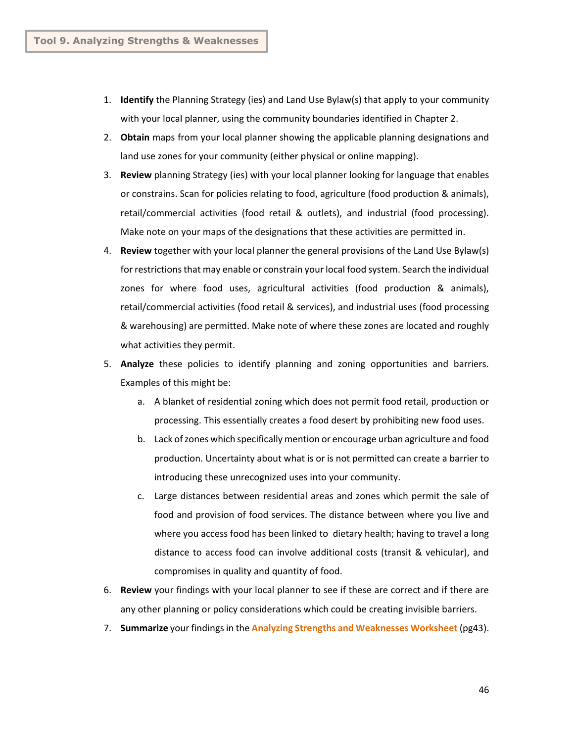- 1. **Identify** the Planning Strategy (ies) and Land Use Bylaw(s) that apply to your community with your local planner, using the community boundaries identified in Chapter 2.
- 2. **Obtain** maps from your local planner showing the applicable planning designations and land use zones for your community (either physical or online mapping).
- 3. **Review** planning Strategy (ies) with your local planner looking for language that enables or constrains. Scan for policies relating to food, agriculture (food production & animals), retail/commercial activities (food retail & outlets), and industrial (food processing). Make note on your maps of the designations that these activities are permitted in.
- 4. **Review** together with your local planner the general provisions of the Land Use Bylaw(s) for restrictions that may enable or constrain your local food system. Search the individual zones for where food uses, agricultural activities (food production & animals), retail/commercial activities (food retail & services), and industrial uses (food processing & warehousing) are permitted. Make note of where these zones are located and roughly what activities they permit.
- 5. **Analyze** these policies to identify planning and zoning opportunities and barriers. Examples of this might be:
	- a. A blanket of residential zoning which does not permit food retail, production or processing. This essentially creates a food desert by prohibiting new food uses.
	- b. Lack of zones which specifically mention or encourage urban agriculture and food production. Uncertainty about what is or is not permitted can create a barrier to introducing these unrecognized uses into your community.
	- c. Large distances between residential areas and zones which permit the sale of food and provision of food services. The distance between where you live and where you access food has been linked to dietary health; having to travel a long distance to access food can involve additional costs (transit & vehicular), and compromises in quality and quantity of food.
- 6. **Review** your findings with your local planner to see if these are correct and if there are any other planning or policy considerations which could be creating invisible barriers.
- 7. **Summarize** your findings in the **Analyzing Strengths and Weaknesses Worksheet** (pg43).